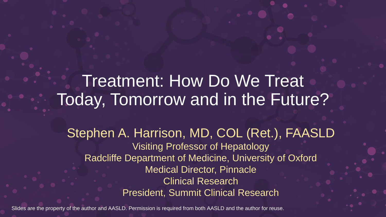### Treatment: How Do We Treat Today, Tomorrow and in the Future?

Stephen A. Harrison, MD, COL (Ret.), FAASLD Visiting Professor of Hepatology Radcliffe Department of Medicine, University of Oxford Medical Director, Pinnacle Clinical Research President, Summit Clinical Research

Slides are the property of the author and AASLD. Permission is required from both AASLD and the author for reuse.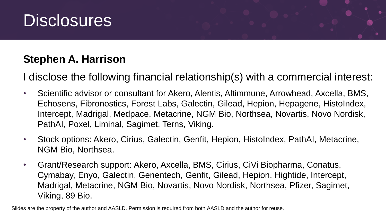

#### **Stephen A. Harrison**

I disclose the following financial relationship(s) with a commercial interest:

- Scientific advisor or consultant for Akero, Alentis, Altimmune, Arrowhead, Axcella, BMS, Echosens, Fibronostics, Forest Labs, Galectin, Gilead, Hepion, Hepagene, HistoIndex, Intercept, Madrigal, Medpace, Metacrine, NGM Bio, Northsea, Novartis, Novo Nordisk, PathAI, Poxel, Liminal, Sagimet, Terns, Viking.
- Stock options: Akero, Cirius, Galectin, Genfit, Hepion, HistoIndex, PathAI, Metacrine, NGM Bio, Northsea.
- Grant/Research support: Akero, Axcella, BMS, Cirius, CiVi Biopharma, Conatus, Cymabay, Enyo, Galectin, Genentech, Genfit, Gilead, Hepion, Hightide, Intercept, Madrigal, Metacrine, NGM Bio, Novartis, Novo Nordisk, Northsea, Pfizer, Sagimet, Viking, 89 Bio.

Slides are the property of the author and AASLD. Permission is required from both AASLD and the author for reuse.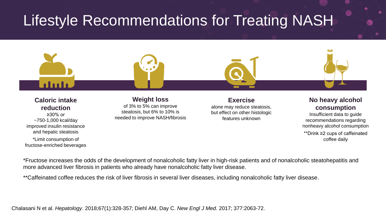### Lifestyle Recommendations for Treating NASH



\*Limit consumption of fructose-enriched beverages \*\*Drink ≥2 cups of caffeinated coffee daily

\*Fructose increases the odds of the development of nonalcoholic fatty liver in high-risk patients and of nonalcoholic steatohepatitis and more advanced liver fibrosis in patients who already have nonalcoholic fatty liver disease.

\*\*Caffeinated coffee reduces the risk of liver fibrosis in several liver diseases, including nonalcoholic fatty liver disease.

Chalasani N et al. *Hepatology*. 2018;67(1):328-357; Diehl AM, Day C. *New Engl J Med.* 2017; 377:2063-72.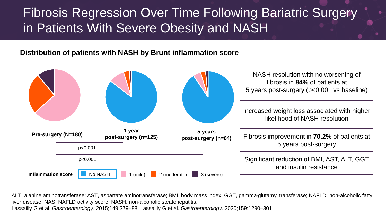#### Fibrosis Regression Over Time Following Bariatric Surgery in Patients With Severe Obesity and NASH

#### **Distribution of patients with NASH by Brunt inflammation score**



ALT, alanine aminotransferase; AST, aspartate aminotransferase; BMI, body mass index; GGT, gamma-glutamyl transferase; NAFLD, non-alcoholic fatty liver disease; NAS, NAFLD activity score; NASH, non-alcoholic steatohepatitis. Lassailly G et al. *Gastroenterology*. 2015;149:379–88; Lassailly G et al. *Gastroenterology*. 2020;159:1290–301.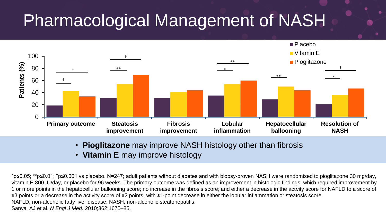# Pharmacological Management of NASH



- **Pioglitazone** may improve NASH histology other than fibrosis
- **Vitamin E** may improve histology

\*p≤0.05; \*\*p≤0.01; †p≤0.001 vs placebo. N=247; adult patients without diabetes and with biopsy-proven NASH were randomised to pioglitazone 30 mg/day, vitamin E 800 IU/day, or placebo for 96 weeks. The primary outcome was defined as an improvement in histologic findings, which required improvement by 1 or more points in the hepatocellular ballooning score; no increase in the fibrosis score; and either a decrease in the activity score for NAFLD to a score of ≤3 points or a decrease in the activity score of ≤2 points, with ≥1-point decrease in either the lobular inflammation or steatosis score. NAFLD, non-alcoholic fatty liver disease; NASH, non-alcoholic steatohepatitis. Sanyal AJ et al. *N Engl J Med.* 2010;362:1675–85.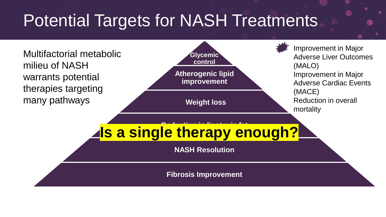# Potential Targets for NASH Treatments

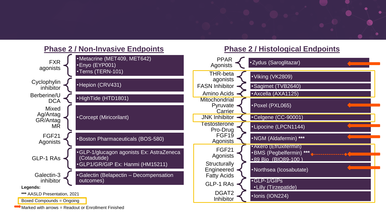#### **Phase 2 / Non-Invasive Endpoints**



Marked with arrows = Readout or Enrollment Finished

#### **Phase 2 / Histological Endpoints**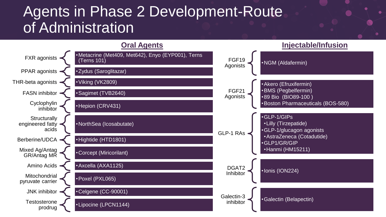#### Agents in Phase 2 Development-Route of Administration

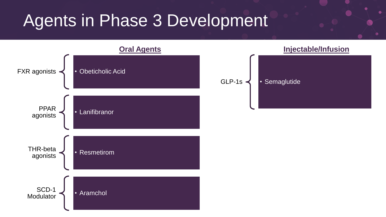### Agents in Phase 3 Development

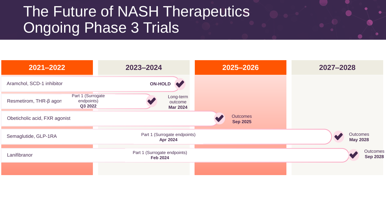### The Future of NASH Therapeutics **Ongoing Phase 3 Trials**

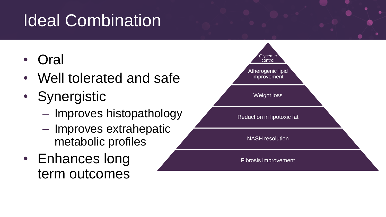# Ideal Combination

- **Oral**
- Well tolerated and safe
- Synergistic
	- Improves histopathology
	- Improves extrahepatic metabolic profiles
- Enhances long term outcomes

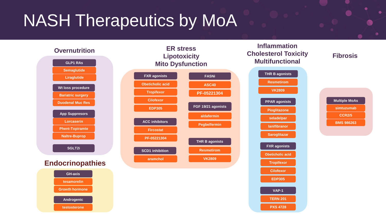# NASH Therapeutics by MoA



#### **Fibrosis**

| <b>Multiple MoAs</b> |
|----------------------|
| simtuzumab           |
| <b>CCR2/5</b>        |
| <b>BMS 986263</b>    |

**VAP-1 TERN 201 PXS 4728**

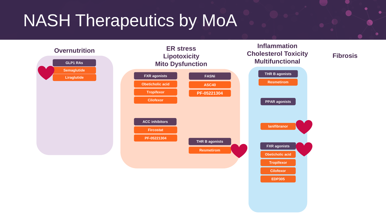# NASH Therapeutics by MoA

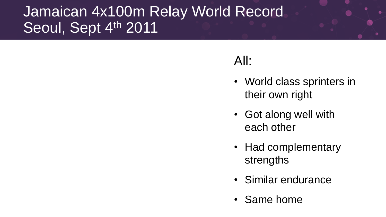### Jamaican 4x100m Relay World Record Seoul, Sept 4th 2011

#### All:

- World class sprinters in their own right
- Got along well with each other
- Had complementary strengths
- Similar endurance
- Same home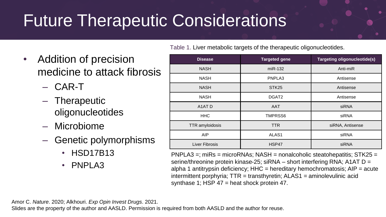# Future Therapeutic Considerations

Table 1. Liver metabolic targets of the therapeutic oligonucleotides.

- Addition of precision medicine to attack fibrosis
	- CAR-T
	- Therapeutic oligonucleotides
	- Microbiome
	- Genetic polymorphisms
		- HSD17B13
		- PNPLA3

| <b>Disease</b>                             | <b>Targeted gene</b> | Targeting oligonucleotide(s) |
|--------------------------------------------|----------------------|------------------------------|
| <b>NASH</b>                                | $miR-132$            | Anti-miR                     |
| <b>NASH</b>                                | PNPLA3               | Antisense                    |
| <b>NASH</b>                                | STK <sub>25</sub>    | Antisense                    |
| <b>NASH</b>                                | DGAT <sub>2</sub>    | Antisense                    |
| A <sub>1</sub> A <sub>T</sub> <sub>D</sub> | AAT                  | siRNA                        |
| <b>HHC</b>                                 | TMPRSS6              | siRNA                        |
| <b>TTR</b> amyloidosis                     | <b>TTR</b>           | siRNA, Antisense             |
| <b>AIP</b>                                 | ALAS <sub>1</sub>    | siRNA                        |
| Liver Fibrosis                             | HSP47                | siRNA                        |

 $PNPLA3 =$ ; miRs = microRNAs; NASH = nonalcoholic steatohepatitis; STK25 = serine/threonine protein kinase-25; siRNA – short interfering RNA; A1AT D = alpha 1 antitrypsin deficiency;  $HHC =$  hereditary hemochromatosis;  $AIP =$  acute intermittent porphyria; TTR = transthyretin; ALAS1 = aminolevulinic acid synthase 1; HSP  $47$  = heat shock protein  $47$ .

Amor C. *Nature*. 2020; Alkhouri. *Exp Opin Invest Drugs*. 2021.

Slides are the property of the author and AASLD. Permission is required from both AASLD and the author for reuse.